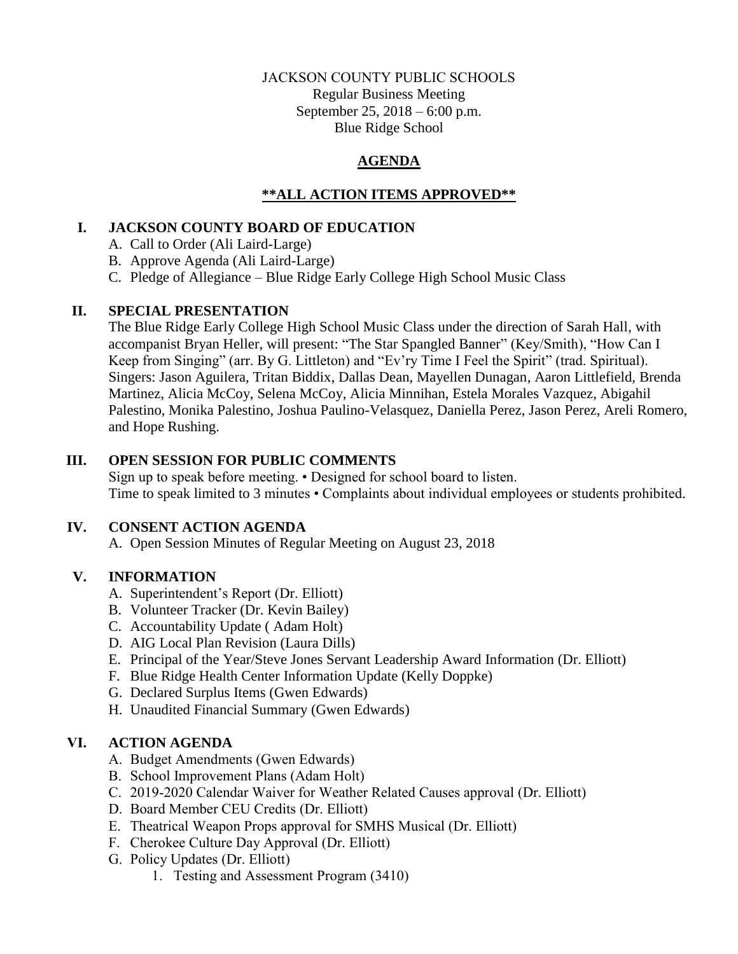### JACKSON COUNTY PUBLIC SCHOOLS Regular Business Meeting September 25, 2018 – 6:00 p.m. Blue Ridge School

## **AGENDA**

## **\*\*ALL ACTION ITEMS APPROVED\*\***

#### **I. JACKSON COUNTY BOARD OF EDUCATION**

A. Call to Order (Ali Laird-Large)

B. Approve Agenda (Ali Laird-Large)

C. Pledge of Allegiance – Blue Ridge Early College High School Music Class

#### **II. SPECIAL PRESENTATION**

The Blue Ridge Early College High School Music Class under the direction of Sarah Hall, with accompanist Bryan Heller, will present: "The Star Spangled Banner" (Key/Smith), "How Can I Keep from Singing" (arr. By G. Littleton) and "Ev'ry Time I Feel the Spirit" (trad. Spiritual). Singers: Jason Aguilera, Tritan Biddix, Dallas Dean, Mayellen Dunagan, Aaron Littlefield, Brenda Martinez, Alicia McCoy, Selena McCoy, Alicia Minnihan, Estela Morales Vazquez, Abigahil Palestino, Monika Palestino, Joshua Paulino-Velasquez, Daniella Perez, Jason Perez, Areli Romero, and Hope Rushing.

#### **III. OPEN SESSION FOR PUBLIC COMMENTS**

Sign up to speak before meeting. • Designed for school board to listen. Time to speak limited to 3 minutes • Complaints about individual employees or students prohibited.

## **IV. CONSENT ACTION AGENDA**

A. Open Session Minutes of Regular Meeting on August 23, 2018

## **V. INFORMATION**

- A. Superintendent's Report (Dr. Elliott)
- B. Volunteer Tracker (Dr. Kevin Bailey)
- C. Accountability Update ( Adam Holt)
- D. AIG Local Plan Revision (Laura Dills)
- E. Principal of the Year/Steve Jones Servant Leadership Award Information (Dr. Elliott)
- F. Blue Ridge Health Center Information Update (Kelly Doppke)
- G. Declared Surplus Items (Gwen Edwards)
- H. Unaudited Financial Summary (Gwen Edwards)

## **VI. ACTION AGENDA**

- A. Budget Amendments (Gwen Edwards)
- B. School Improvement Plans (Adam Holt)
- C. 2019-2020 Calendar Waiver for Weather Related Causes approval (Dr. Elliott)
- D. Board Member CEU Credits (Dr. Elliott)
- E. Theatrical Weapon Props approval for SMHS Musical (Dr. Elliott)
- F. Cherokee Culture Day Approval (Dr. Elliott)
- G. Policy Updates (Dr. Elliott)
	- 1. Testing and Assessment Program (3410)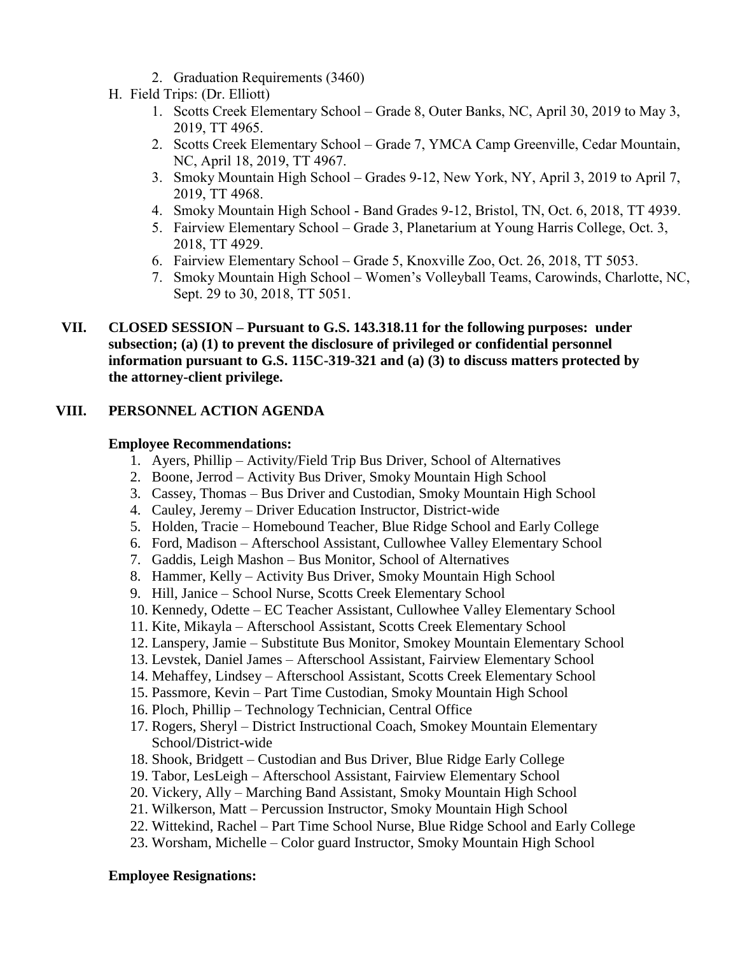- 2. Graduation Requirements (3460)
- H. Field Trips: (Dr. Elliott)
	- 1. Scotts Creek Elementary School Grade 8, Outer Banks, NC, April 30, 2019 to May 3, 2019, TT 4965.
	- 2. Scotts Creek Elementary School Grade 7, YMCA Camp Greenville, Cedar Mountain, NC, April 18, 2019, TT 4967.
	- 3. Smoky Mountain High School Grades 9-12, New York, NY, April 3, 2019 to April 7, 2019, TT 4968.
	- 4. Smoky Mountain High School Band Grades 9-12, Bristol, TN, Oct. 6, 2018, TT 4939.
	- 5. Fairview Elementary School Grade 3, Planetarium at Young Harris College, Oct. 3, 2018, TT 4929.
	- 6. Fairview Elementary School Grade 5, Knoxville Zoo, Oct. 26, 2018, TT 5053.
	- 7. Smoky Mountain High School Women's Volleyball Teams, Carowinds, Charlotte, NC, Sept. 29 to 30, 2018, TT 5051.
- **VII. CLOSED SESSION – Pursuant to G.S. 143.318.11 for the following purposes: under subsection; (a) (1) to prevent the disclosure of privileged or confidential personnel information pursuant to G.S. 115C-319-321 and (a) (3) to discuss matters protected by the attorney-client privilege.**

# **VIII. PERSONNEL ACTION AGENDA**

## **Employee Recommendations:**

- 1. Ayers, Phillip Activity/Field Trip Bus Driver, School of Alternatives
- 2. Boone, Jerrod Activity Bus Driver, Smoky Mountain High School
- 3. Cassey, Thomas Bus Driver and Custodian, Smoky Mountain High School
- 4. Cauley, Jeremy Driver Education Instructor, District-wide
- 5. Holden, Tracie Homebound Teacher, Blue Ridge School and Early College
- 6. Ford, Madison Afterschool Assistant, Cullowhee Valley Elementary School
- 7. Gaddis, Leigh Mashon Bus Monitor, School of Alternatives
- 8. Hammer, Kelly Activity Bus Driver, Smoky Mountain High School
- 9. Hill, Janice School Nurse, Scotts Creek Elementary School
- 10. Kennedy, Odette EC Teacher Assistant, Cullowhee Valley Elementary School
- 11. Kite, Mikayla Afterschool Assistant, Scotts Creek Elementary School
- 12. Lanspery, Jamie Substitute Bus Monitor, Smokey Mountain Elementary School
- 13. Levstek, Daniel James Afterschool Assistant, Fairview Elementary School
- 14. Mehaffey, Lindsey Afterschool Assistant, Scotts Creek Elementary School
- 15. Passmore, Kevin Part Time Custodian, Smoky Mountain High School
- 16. Ploch, Phillip Technology Technician, Central Office
- 17. Rogers, Sheryl District Instructional Coach, Smokey Mountain Elementary School/District-wide
- 18. Shook, Bridgett Custodian and Bus Driver, Blue Ridge Early College
- 19. Tabor, LesLeigh Afterschool Assistant, Fairview Elementary School
- 20. Vickery, Ally Marching Band Assistant, Smoky Mountain High School
- 21. Wilkerson, Matt Percussion Instructor, Smoky Mountain High School
- 22. Wittekind, Rachel Part Time School Nurse, Blue Ridge School and Early College
- 23. Worsham, Michelle Color guard Instructor, Smoky Mountain High School

## **Employee Resignations:**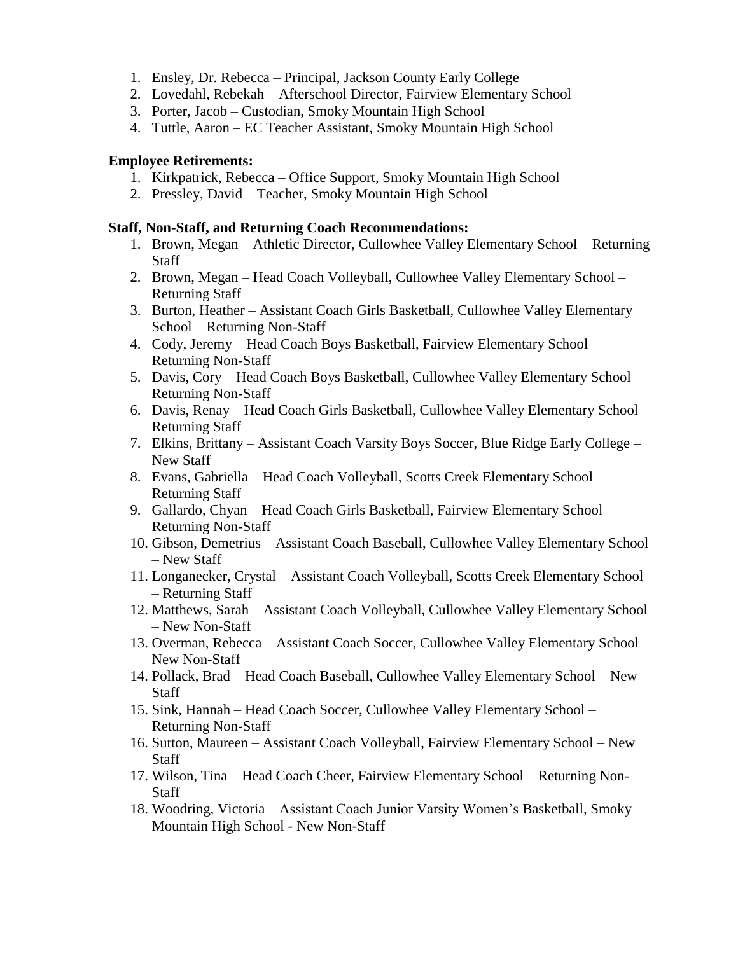- 1. Ensley, Dr. Rebecca Principal, Jackson County Early College
- 2. Lovedahl, Rebekah Afterschool Director, Fairview Elementary School
- 3. Porter, Jacob Custodian, Smoky Mountain High School
- 4. Tuttle, Aaron EC Teacher Assistant, Smoky Mountain High School

#### **Employee Retirements:**

- 1. Kirkpatrick, Rebecca Office Support, Smoky Mountain High School
- 2. Pressley, David Teacher, Smoky Mountain High School

#### **Staff, Non-Staff, and Returning Coach Recommendations:**

- 1. Brown, Megan Athletic Director, Cullowhee Valley Elementary School Returning **Staff**
- 2. Brown, Megan Head Coach Volleyball, Cullowhee Valley Elementary School Returning Staff
- 3. Burton, Heather Assistant Coach Girls Basketball, Cullowhee Valley Elementary School – Returning Non-Staff
- 4. Cody, Jeremy Head Coach Boys Basketball, Fairview Elementary School Returning Non-Staff
- 5. Davis, Cory Head Coach Boys Basketball, Cullowhee Valley Elementary School Returning Non-Staff
- 6. Davis, Renay Head Coach Girls Basketball, Cullowhee Valley Elementary School Returning Staff
- 7. Elkins, Brittany Assistant Coach Varsity Boys Soccer, Blue Ridge Early College New Staff
- 8. Evans, Gabriella Head Coach Volleyball, Scotts Creek Elementary School Returning Staff
- 9. Gallardo, Chyan Head Coach Girls Basketball, Fairview Elementary School Returning Non-Staff
- 10. Gibson, Demetrius Assistant Coach Baseball, Cullowhee Valley Elementary School – New Staff
- 11. Longanecker, Crystal Assistant Coach Volleyball, Scotts Creek Elementary School – Returning Staff
- 12. Matthews, Sarah Assistant Coach Volleyball, Cullowhee Valley Elementary School – New Non-Staff
- 13. Overman, Rebecca Assistant Coach Soccer, Cullowhee Valley Elementary School New Non-Staff
- 14. Pollack, Brad Head Coach Baseball, Cullowhee Valley Elementary School New **Staff**
- 15. Sink, Hannah Head Coach Soccer, Cullowhee Valley Elementary School Returning Non-Staff
- 16. Sutton, Maureen Assistant Coach Volleyball, Fairview Elementary School New Staff
- 17. Wilson, Tina Head Coach Cheer, Fairview Elementary School Returning Non-Staff
- 18. Woodring, Victoria Assistant Coach Junior Varsity Women's Basketball, Smoky Mountain High School - New Non-Staff